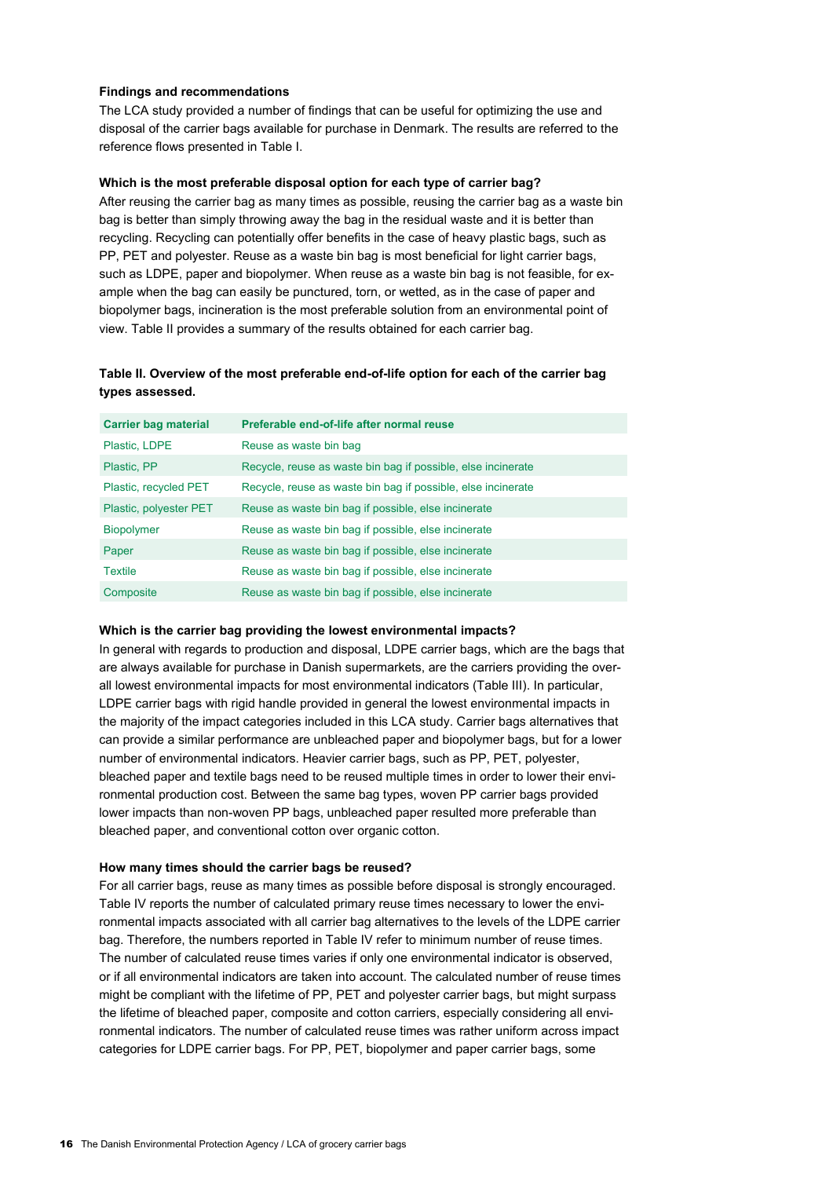### **Findings and recommendations**

The LCA study provided a number of findings that can be useful for optimizing the use and disposal of the carrier bags available for purchase in Denmark. The results are referred to the reference flows presented in Table I.

#### **Which is the most preferable disposal option for each type of carrier bag?**

After reusing the carrier bag as many times as possible, reusing the carrier bag as a waste bin bag is better than simply throwing away the bag in the residual waste and it is better than recycling. Recycling can potentially offer benefits in the case of heavy plastic bags, such as PP, PET and polyester. Reuse as a waste bin bag is most beneficial for light carrier bags, such as LDPE, paper and biopolymer. When reuse as a waste bin bag is not feasible, for example when the bag can easily be punctured, torn, or wetted, as in the case of paper and biopolymer bags, incineration is the most preferable solution from an environmental point of view. Table II provides a summary of the results obtained for each carrier bag.

## **Table II. Overview of the most preferable end-of-life option for each of the carrier bag types assessed.**

| <b>Carrier bag material</b> | Preferable end-of-life after normal reuse                    |
|-----------------------------|--------------------------------------------------------------|
| Plastic, LDPE               | Reuse as waste bin bag                                       |
| Plastic, PP                 | Recycle, reuse as waste bin bag if possible, else incinerate |
| Plastic, recycled PET       | Recycle, reuse as waste bin bag if possible, else incinerate |
| Plastic, polyester PET      | Reuse as waste bin bag if possible, else incinerate          |
| <b>Biopolymer</b>           | Reuse as waste bin bag if possible, else incinerate          |
| Paper                       | Reuse as waste bin bag if possible, else incinerate          |
| <b>Textile</b>              | Reuse as waste bin bag if possible, else incinerate          |
| Composite                   | Reuse as waste bin bag if possible, else incinerate          |

#### **Which is the carrier bag providing the lowest environmental impacts?**

In general with regards to production and disposal, LDPE carrier bags, which are the bags that are always available for purchase in Danish supermarkets, are the carriers providing the overall lowest environmental impacts for most environmental indicators (Table III). In particular, LDPE carrier bags with rigid handle provided in general the lowest environmental impacts in the majority of the impact categories included in this LCA study. Carrier bags alternatives that can provide a similar performance are unbleached paper and biopolymer bags, but for a lower number of environmental indicators. Heavier carrier bags, such as PP, PET, polyester, bleached paper and textile bags need to be reused multiple times in order to lower their environmental production cost. Between the same bag types, woven PP carrier bags provided lower impacts than non-woven PP bags, unbleached paper resulted more preferable than bleached paper, and conventional cotton over organic cotton.

#### **How many times should the carrier bags be reused?**

For all carrier bags, reuse as many times as possible before disposal is strongly encouraged. Table IV reports the number of calculated primary reuse times necessary to lower the environmental impacts associated with all carrier bag alternatives to the levels of the LDPE carrier bag. Therefore, the numbers reported in Table IV refer to minimum number of reuse times. The number of calculated reuse times varies if only one environmental indicator is observed, or if all environmental indicators are taken into account. The calculated number of reuse times might be compliant with the lifetime of PP, PET and polyester carrier bags, but might surpass the lifetime of bleached paper, composite and cotton carriers, especially considering all environmental indicators. The number of calculated reuse times was rather uniform across impact categories for LDPE carrier bags. For PP, PET, biopolymer and paper carrier bags, some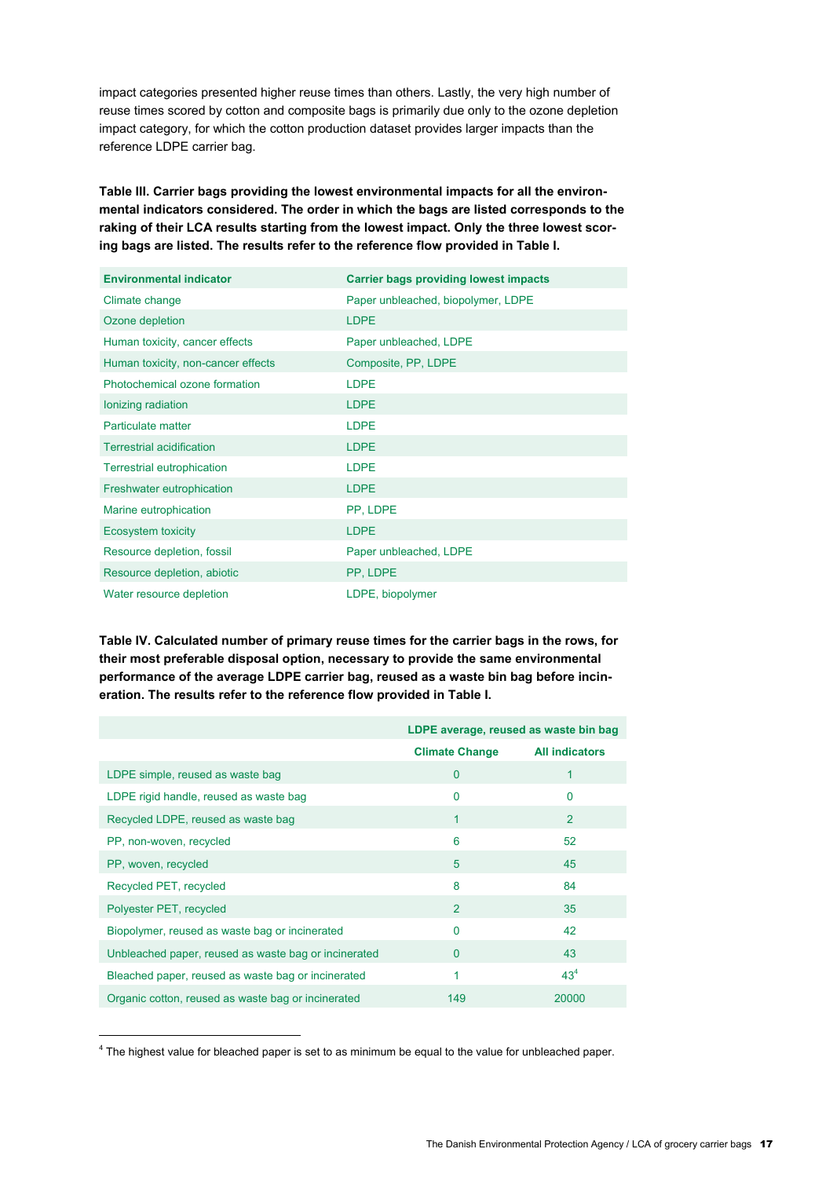impact categories presented higher reuse times than others. Lastly, the very high number of reuse times scored by cotton and composite bags is primarily due only to the ozone depletion impact category, for which the cotton production dataset provides larger impacts than the reference LDPE carrier bag.

**Table III. Carrier bags providing the lowest environmental impacts for all the environmental indicators considered. The order in which the bags are listed corresponds to the raking of their LCA results starting from the lowest impact. Only the three lowest scoring bags are listed. The results refer to the reference flow provided in Table I.**

| <b>Environmental indicator</b>     | <b>Carrier bags providing lowest impacts</b> |
|------------------------------------|----------------------------------------------|
| Climate change                     | Paper unbleached, biopolymer, LDPE           |
| Ozone depletion                    | <b>LDPE</b>                                  |
| Human toxicity, cancer effects     | Paper unbleached, LDPE                       |
| Human toxicity, non-cancer effects | Composite, PP, LDPE                          |
| Photochemical ozone formation      | <b>LDPE</b>                                  |
| Ionizing radiation                 | <b>LDPE</b>                                  |
| Particulate matter                 | <b>LDPE</b>                                  |
| <b>Terrestrial acidification</b>   | <b>LDPE</b>                                  |
| <b>Terrestrial eutrophication</b>  | <b>LDPE</b>                                  |
| Freshwater eutrophication          | <b>LDPE</b>                                  |
| Marine eutrophication              | PP, LDPE                                     |
| Ecosystem toxicity                 | <b>LDPE</b>                                  |
| Resource depletion, fossil         | Paper unbleached, LDPE                       |
| Resource depletion, abiotic        | PP, LDPE                                     |
| Water resource depletion           | LDPE, biopolymer                             |

**Table IV. Calculated number of primary reuse times for the carrier bags in the rows, for their most preferable disposal option, necessary to provide the same environmental performance of the average LDPE carrier bag, reused as a waste bin bag before incineration. The results refer to the reference flow provided in Table I.**

|                                                      | LDPE average, reused as waste bin bag |                       |
|------------------------------------------------------|---------------------------------------|-----------------------|
|                                                      | <b>Climate Change</b>                 | <b>All indicators</b> |
| LDPE simple, reused as waste bag                     | $\mathbf 0$                           | 1                     |
| LDPE rigid handle, reused as waste bag               | 0                                     | 0                     |
| Recycled LDPE, reused as waste bag                   | 1                                     | 2                     |
| PP, non-woven, recycled                              | 6                                     | 52                    |
| PP, woven, recycled                                  | 5                                     | 45                    |
| Recycled PET, recycled                               | 8                                     | 84                    |
| Polyester PET, recycled                              | $\overline{2}$                        | 35                    |
| Biopolymer, reused as waste bag or incinerated       | 0                                     | 42                    |
| Unbleached paper, reused as waste bag or incinerated | $\Omega$                              | 43                    |
| Bleached paper, reused as waste bag or incinerated   | 1                                     | 43 <sup>4</sup>       |
| Organic cotton, reused as waste bag or incinerated   | 149                                   | 20000                 |

<sup>&</sup>lt;sup>4</sup> The highest value for bleached paper is set to as minimum be equal to the value for unbleached paper.

 $\overline{a}$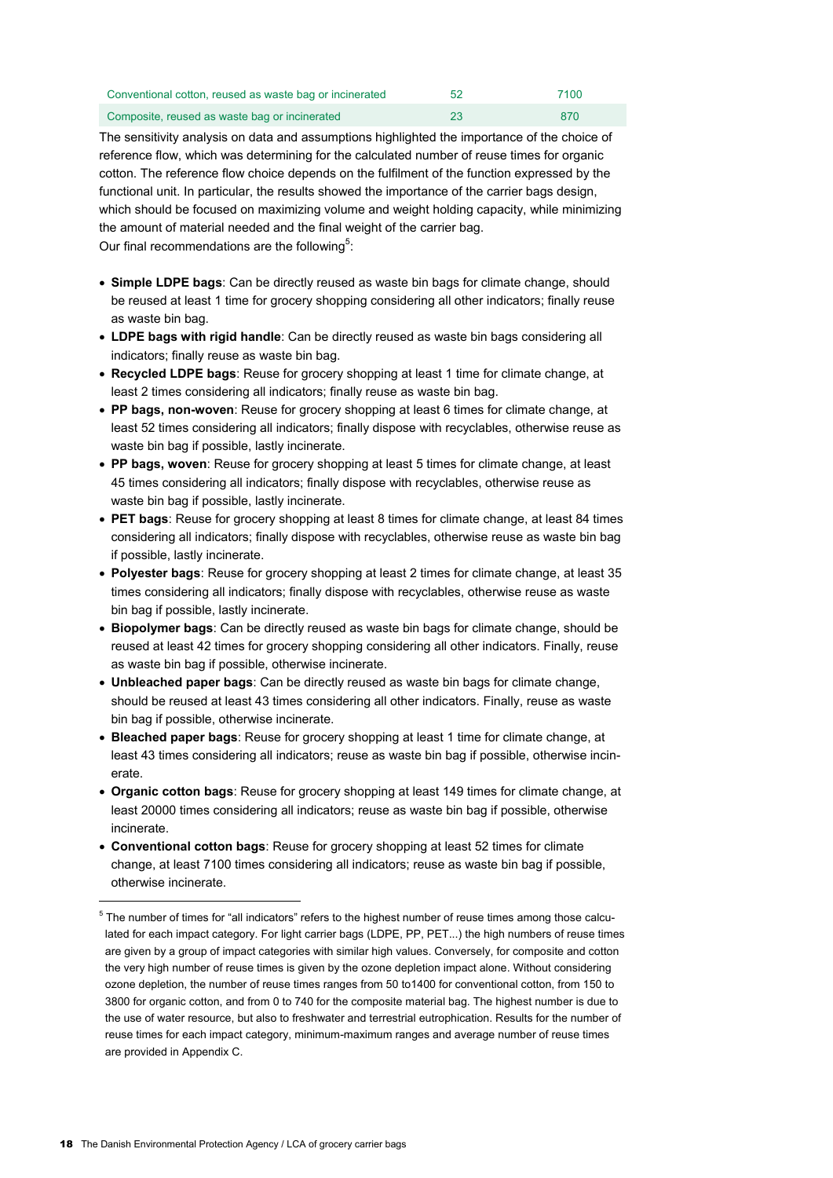| Conventional cotton, reused as waste bag or incinerated | 52 | 7100 |
|---------------------------------------------------------|----|------|
| Composite, reused as waste bag or incinerated           | 23 | 870  |

The sensitivity analysis on data and assumptions highlighted the importance of the choice of reference flow, which was determining for the calculated number of reuse times for organic cotton. The reference flow choice depends on the fulfilment of the function expressed by the functional unit. In particular, the results showed the importance of the carrier bags design, which should be focused on maximizing volume and weight holding capacity, while minimizing the amount of material needed and the final weight of the carrier bag. Our final recommendations are the following<sup>5</sup>:

 **Simple LDPE bags**: Can be directly reused as waste bin bags for climate change, should be reused at least 1 time for grocery shopping considering all other indicators; finally reuse as waste bin bag.

- **LDPE bags with rigid handle**: Can be directly reused as waste bin bags considering all indicators; finally reuse as waste bin bag.
- **Recycled LDPE bags**: Reuse for grocery shopping at least 1 time for climate change, at least 2 times considering all indicators; finally reuse as waste bin bag.
- **PP bags, non-woven**: Reuse for grocery shopping at least 6 times for climate change, at least 52 times considering all indicators; finally dispose with recyclables, otherwise reuse as waste bin bag if possible, lastly incinerate.
- **PP bags, woven**: Reuse for grocery shopping at least 5 times for climate change, at least 45 times considering all indicators; finally dispose with recyclables, otherwise reuse as waste bin bag if possible, lastly incinerate.
- **PET bags**: Reuse for grocery shopping at least 8 times for climate change, at least 84 times considering all indicators; finally dispose with recyclables, otherwise reuse as waste bin bag if possible, lastly incinerate.
- **Polyester bags**: Reuse for grocery shopping at least 2 times for climate change, at least 35 times considering all indicators; finally dispose with recyclables, otherwise reuse as waste bin bag if possible, lastly incinerate.
- **Biopolymer bags**: Can be directly reused as waste bin bags for climate change, should be reused at least 42 times for grocery shopping considering all other indicators. Finally, reuse as waste bin bag if possible, otherwise incinerate.
- **Unbleached paper bags**: Can be directly reused as waste bin bags for climate change, should be reused at least 43 times considering all other indicators. Finally, reuse as waste bin bag if possible, otherwise incinerate.
- **Bleached paper bags**: Reuse for grocery shopping at least 1 time for climate change, at least 43 times considering all indicators; reuse as waste bin bag if possible, otherwise incinerate.
- **Organic cotton bags**: Reuse for grocery shopping at least 149 times for climate change, at least 20000 times considering all indicators; reuse as waste bin bag if possible, otherwise incinerate.
- **Conventional cotton bags**: Reuse for grocery shopping at least 52 times for climate change, at least 7100 times considering all indicators; reuse as waste bin bag if possible, otherwise incinerate.

-

 $<sup>5</sup>$  The number of times for "all indicators" refers to the highest number of reuse times among those calcu-</sup> lated for each impact category. For light carrier bags (LDPE, PP, PET...) the high numbers of reuse times are given by a group of impact categories with similar high values. Conversely, for composite and cotton the very high number of reuse times is given by the ozone depletion impact alone. Without considering ozone depletion, the number of reuse times ranges from 50 to1400 for conventional cotton, from 150 to 3800 for organic cotton, and from 0 to 740 for the composite material bag. The highest number is due to the use of water resource, but also to freshwater and terrestrial eutrophication. Results for the number of reuse times for each impact category, minimum-maximum ranges and average number of reuse times are provided in Appendix C.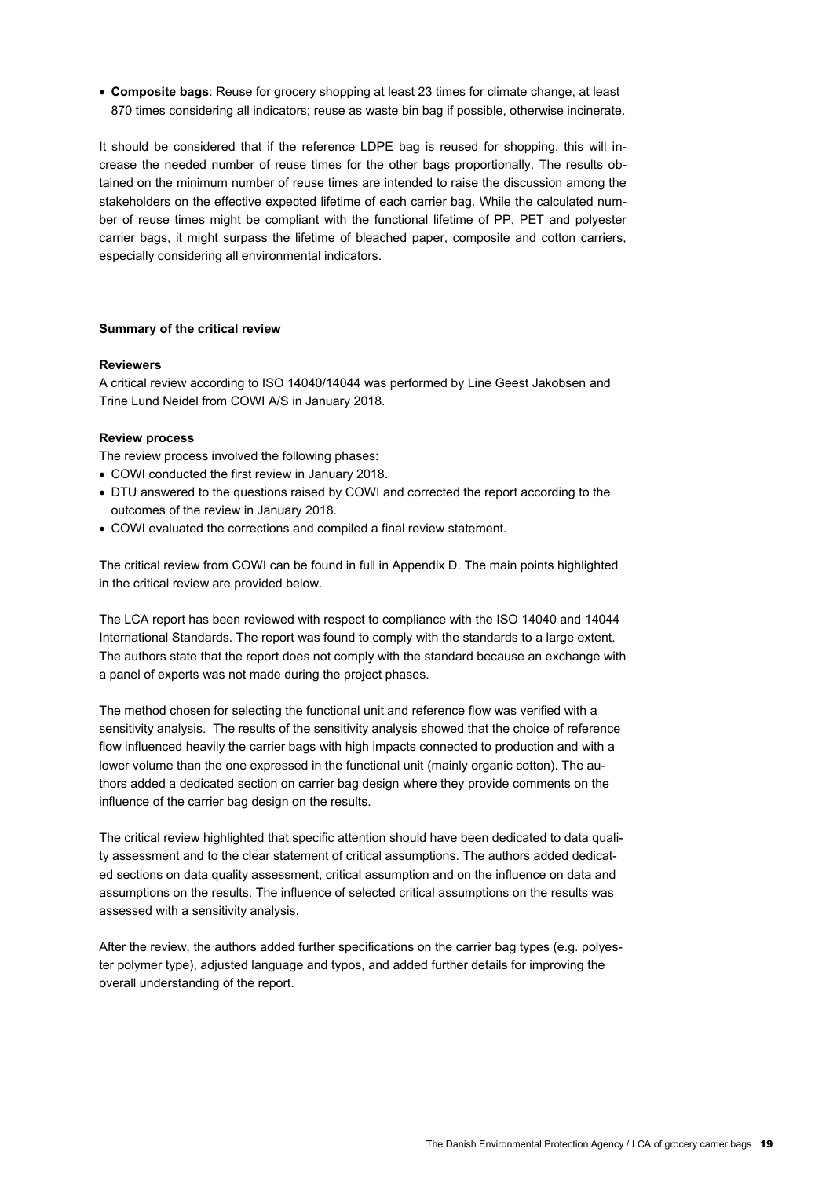**Composite bags**: Reuse for grocery shopping at least 23 times for climate change, at least 870 times considering all indicators; reuse as waste bin bag if possible, otherwise incinerate.

It should be considered that if the reference LDPE bag is reused for shopping, this will increase the needed number of reuse times for the other bags proportionally. The results obtained on the minimum number of reuse times are intended to raise the discussion among the stakeholders on the effective expected lifetime of each carrier bag. While the calculated number of reuse times might be compliant with the functional lifetime of PP, PET and polyester carrier bags, it might surpass the lifetime of bleached paper, composite and cotton carriers, especially considering all environmental indicators.

#### **Summary of the critical review**

#### **Reviewers**

A critical review according to ISO 14040/14044 was performed by Line Geest Jakobsen and Trine Lund Neidel from COWI A/S in January 2018.

#### **Review process**

The review process involved the following phases:

- COWI conducted the first review in January 2018.
- DTU answered to the questions raised by COWI and corrected the report according to the outcomes of the review in January 2018.
- COWI evaluated the corrections and compiled a final review statement.

The critical review from COWI can be found in full in Appendix D. The main points highlighted in the critical review are provided below.

The LCA report has been reviewed with respect to compliance with the ISO 14040 and 14044 International Standards. The report was found to comply with the standards to a large extent. The authors state that the report does not comply with the standard because an exchange with a panel of experts was not made during the project phases.

The method chosen for selecting the functional unit and reference flow was verified with a sensitivity analysis. The results of the sensitivity analysis showed that the choice of reference flow influenced heavily the carrier bags with high impacts connected to production and with a lower volume than the one expressed in the functional unit (mainly organic cotton). The authors added a dedicated section on carrier bag design where they provide comments on the influence of the carrier bag design on the results.

The critical review highlighted that specific attention should have been dedicated to data quality assessment and to the clear statement of critical assumptions. The authors added dedicated sections on data quality assessment, critical assumption and on the influence on data and assumptions on the results. The influence of selected critical assumptions on the results was assessed with a sensitivity analysis.

After the review, the authors added further specifications on the carrier bag types (e.g. polyester polymer type), adjusted language and typos, and added further details for improving the overall understanding of the report.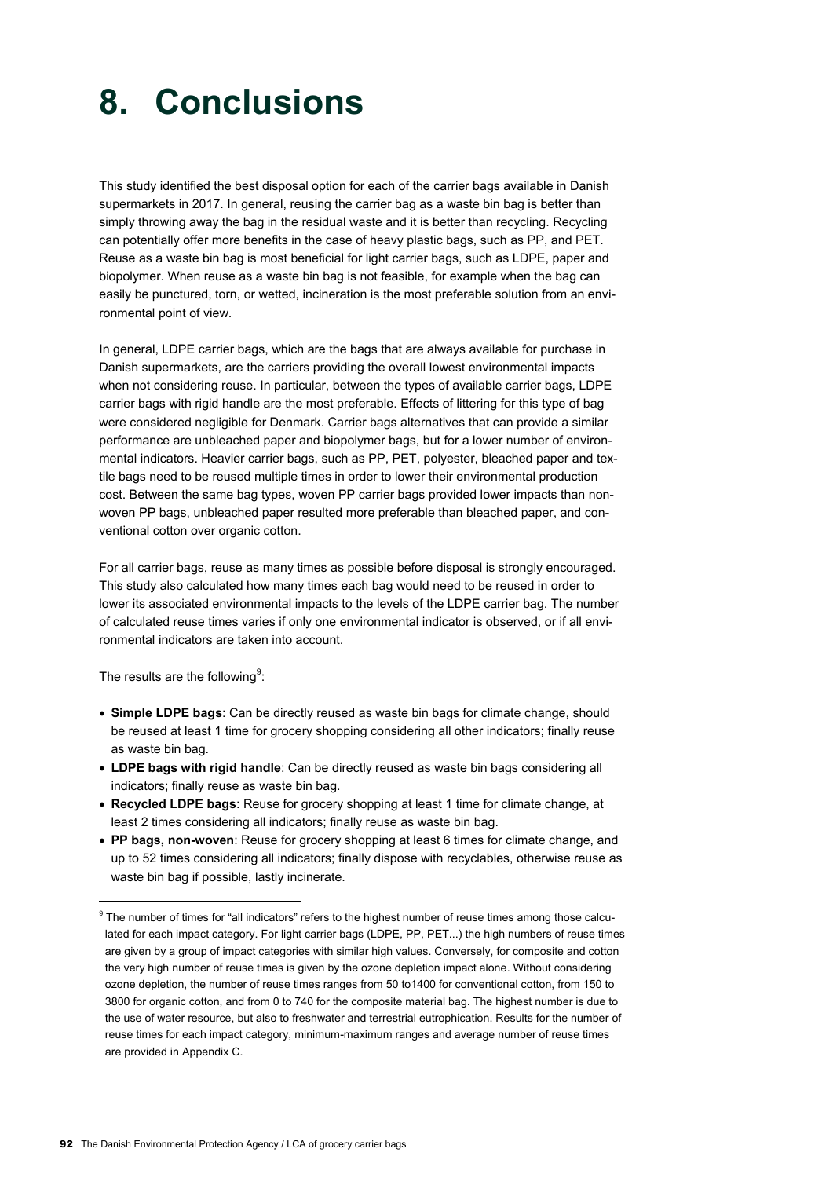# **8. Conclusions**

This study identified the best disposal option for each of the carrier bags available in Danish supermarkets in 2017. In general, reusing the carrier bag as a waste bin bag is better than simply throwing away the bag in the residual waste and it is better than recycling. Recycling can potentially offer more benefits in the case of heavy plastic bags, such as PP, and PET. Reuse as a waste bin bag is most beneficial for light carrier bags, such as LDPE, paper and biopolymer. When reuse as a waste bin bag is not feasible, for example when the bag can easily be punctured, torn, or wetted, incineration is the most preferable solution from an environmental point of view.

In general, LDPE carrier bags, which are the bags that are always available for purchase in Danish supermarkets, are the carriers providing the overall lowest environmental impacts when not considering reuse. In particular, between the types of available carrier bags, LDPE carrier bags with rigid handle are the most preferable. Effects of littering for this type of bag were considered negligible for Denmark. Carrier bags alternatives that can provide a similar performance are unbleached paper and biopolymer bags, but for a lower number of environmental indicators. Heavier carrier bags, such as PP, PET, polyester, bleached paper and textile bags need to be reused multiple times in order to lower their environmental production cost. Between the same bag types, woven PP carrier bags provided lower impacts than nonwoven PP bags, unbleached paper resulted more preferable than bleached paper, and conventional cotton over organic cotton.

For all carrier bags, reuse as many times as possible before disposal is strongly encouraged. This study also calculated how many times each bag would need to be reused in order to lower its associated environmental impacts to the levels of the LDPE carrier bag. The number of calculated reuse times varies if only one environmental indicator is observed, or if all environmental indicators are taken into account.

The results are the following $9$ :

-

- **Simple LDPE bags**: Can be directly reused as waste bin bags for climate change, should be reused at least 1 time for grocery shopping considering all other indicators; finally reuse as waste bin bag.
- **LDPE bags with rigid handle**: Can be directly reused as waste bin bags considering all indicators; finally reuse as waste bin bag.
- **Recycled LDPE bags**: Reuse for grocery shopping at least 1 time for climate change, at least 2 times considering all indicators; finally reuse as waste bin bag.
- **PP bags, non-woven**: Reuse for grocery shopping at least 6 times for climate change, and up to 52 times considering all indicators; finally dispose with recyclables, otherwise reuse as waste bin bag if possible, lastly incinerate.

 $9$  The number of times for "all indicators" refers to the highest number of reuse times among those calculated for each impact category. For light carrier bags (LDPE, PP, PET...) the high numbers of reuse times are given by a group of impact categories with similar high values. Conversely, for composite and cotton the very high number of reuse times is given by the ozone depletion impact alone. Without considering ozone depletion, the number of reuse times ranges from 50 to1400 for conventional cotton, from 150 to 3800 for organic cotton, and from 0 to 740 for the composite material bag. The highest number is due to the use of water resource, but also to freshwater and terrestrial eutrophication. Results for the number of reuse times for each impact category, minimum-maximum ranges and average number of reuse times are provided in Appendix C.